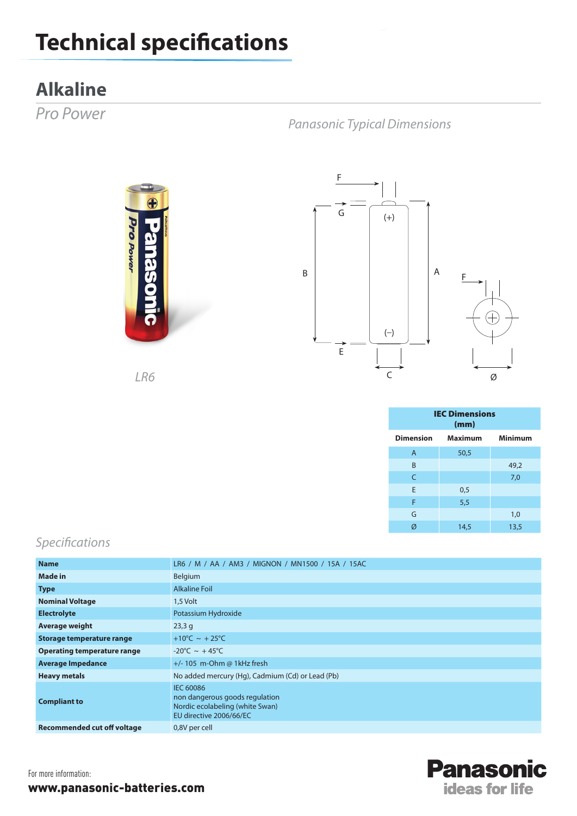## **Technical specifications**

## **Alkaline**

*Pro Power*

*Panasonic Typical Dimensions*





*LR6*

| <b>IEC Dimensions</b><br>(mm) |      |                |
|-------------------------------|------|----------------|
| Dimension Maximum             |      | <b>Minimum</b> |
| $\overline{A}$                | 50,5 |                |
| B                             |      | 49,2           |
| C                             |      | 7,0            |
| E                             | 0,5  |                |
| F                             | 5,5  |                |
| G                             |      | 1,0            |
| Ø                             | 14,5 | 13,5           |

## *Specifications*

| <b>Name</b>                        | LR6 / M / AA / AM3 / MIGNON / MN1500 / 15A / 15AC                                                                |  |
|------------------------------------|------------------------------------------------------------------------------------------------------------------|--|
| <b>Made in</b>                     | Belgium                                                                                                          |  |
| <b>Type</b>                        | <b>Alkaline Foil</b>                                                                                             |  |
| <b>Nominal Voltage</b>             | 1,5 Volt                                                                                                         |  |
| <b>Electrolyte</b>                 | Potassium Hydroxide                                                                                              |  |
| Average weight                     | 23,3q                                                                                                            |  |
| Storage temperature range          | +10°C ~ +25°C                                                                                                    |  |
| <b>Operating temperature range</b> | $-20^{\circ}$ C ~ +45°C                                                                                          |  |
| <b>Average Impedance</b>           | $+/- 105$ m-Ohm @ 1kHz fresh                                                                                     |  |
| <b>Heavy metals</b>                | No added mercury (Hg), Cadmium (Cd) or Lead (Pb)                                                                 |  |
| <b>Compliant to</b>                | <b>IEC 60086</b><br>non dangerous goods regulation<br>Nordic ecolabeling (white Swan)<br>EU directive 2006/66/EC |  |
| <b>Recommended cut off voltage</b> | 0,8V per cell                                                                                                    |  |



For more information: www.panasonic-batteries.com